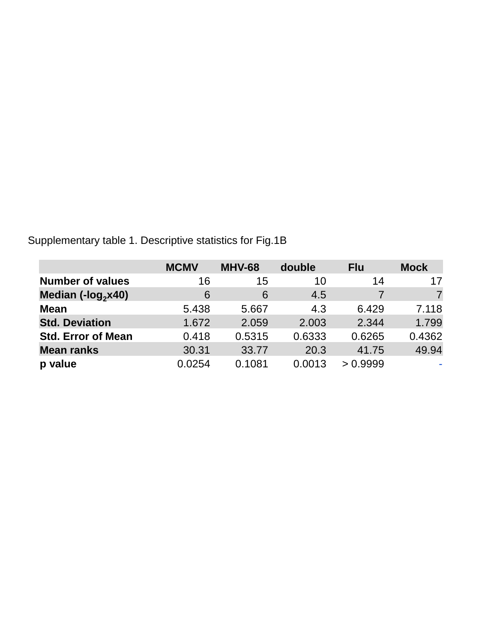Supplementary table 1. Descriptive statistics for Fig.1B

|                           | <b>MCMV</b> | <b>MHV-68</b> | double | <b>Flu</b> | <b>Mock</b> |
|---------------------------|-------------|---------------|--------|------------|-------------|
| <b>Number of values</b>   | 16          | 15            | 10     | 14         | 17          |
| Median (- $log_2$ x40)    | 6           | 6             | 4.5    |            |             |
| <b>Mean</b>               | 5.438       | 5.667         | 4.3    | 6.429      | 7.118       |
| <b>Std. Deviation</b>     | 1.672       | 2.059         | 2.003  | 2.344      | 1.799       |
| <b>Std. Error of Mean</b> | 0.418       | 0.5315        | 0.6333 | 0.6265     | 0.4362      |
| <b>Mean ranks</b>         | 30.31       | 33.77         | 20.3   | 41.75      | 49.94       |
| p value                   | 0.0254      | 0.1081        | 0.0013 | > 0.9999   |             |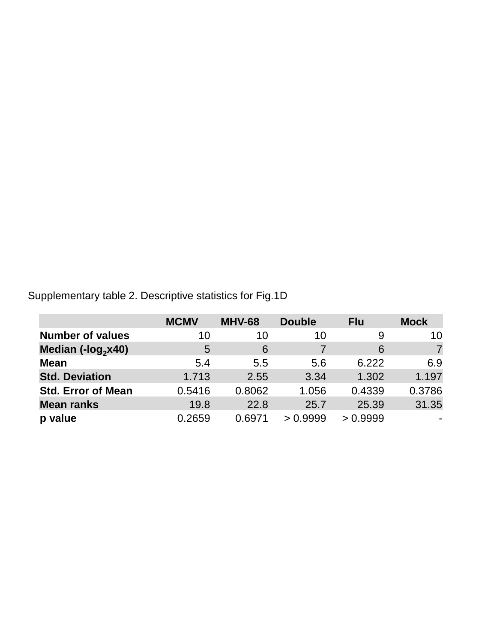Supplementary table 2. Descriptive statistics for Fig.1D

|                               | <b>MCMV</b> | <b>MHV-68</b> | <b>Double</b> | <b>Flu</b> | <b>Mock</b> |
|-------------------------------|-------------|---------------|---------------|------------|-------------|
| <b>Number of values</b>       | 10          | 10            | 10            | 9          | 10          |
| Median $(-\text{log}_2 x 40)$ | 5           | 6             |               | 6          |             |
| <b>Mean</b>                   | 5.4         | 5.5           | 5.6           | 6.222      | 6.9         |
| <b>Std. Deviation</b>         | 1.713       | 2.55          | 3.34          | 1.302      | 1.197       |
| <b>Std. Error of Mean</b>     | 0.5416      | 0.8062        | 1.056         | 0.4339     | 0.3786      |
| <b>Mean ranks</b>             | 19.8        | 22.8          | 25.7          | 25.39      | 31.35       |
| p value                       | 0.2659      | 0.6971        | > 0.9999      | > 0.9999   |             |